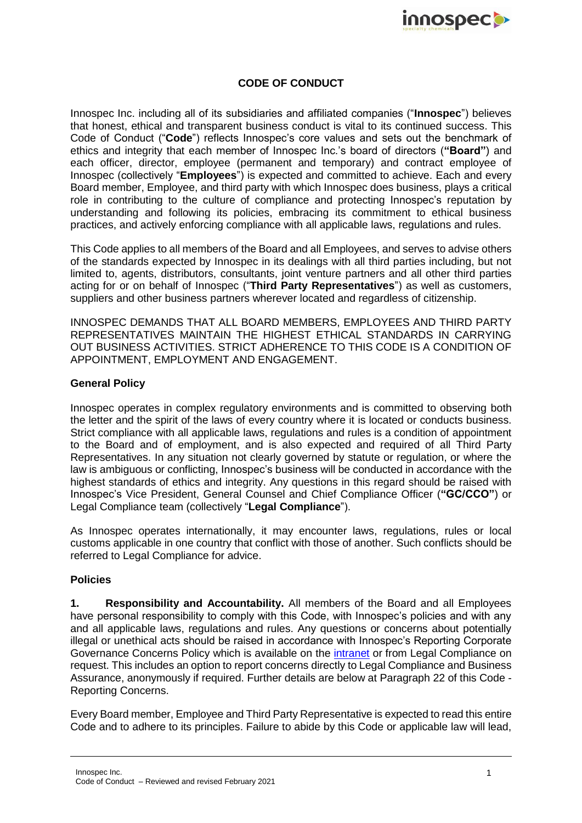

## **CODE OF CONDUCT**

Innospec Inc. including all of its subsidiaries and affiliated companies ("**Innospec**") believes that honest, ethical and transparent business conduct is vital to its continued success. This Code of Conduct ("**Code**") reflects Innospec's core values and sets out the benchmark of ethics and integrity that each member of Innospec Inc.'s board of directors (**"Board"**) and each officer, director, employee (permanent and temporary) and contract employee of Innospec (collectively "**Employees**") is expected and committed to achieve. Each and every Board member, Employee, and third party with which Innospec does business, plays a critical role in contributing to the culture of compliance and protecting Innospec's reputation by understanding and following its policies, embracing its commitment to ethical business practices, and actively enforcing compliance with all applicable laws, regulations and rules.

This Code applies to all members of the Board and all Employees, and serves to advise others of the standards expected by Innospec in its dealings with all third parties including, but not limited to, agents, distributors, consultants, joint venture partners and all other third parties acting for or on behalf of Innospec ("**Third Party Representatives**") as well as customers, suppliers and other business partners wherever located and regardless of citizenship.

INNOSPEC DEMANDS THAT ALL BOARD MEMBERS, EMPLOYEES AND THIRD PARTY REPRESENTATIVES MAINTAIN THE HIGHEST ETHICAL STANDARDS IN CARRYING OUT BUSINESS ACTIVITIES. STRICT ADHERENCE TO THIS CODE IS A CONDITION OF APPOINTMENT, EMPLOYMENT AND ENGAGEMENT.

## **General Policy**

Innospec operates in complex regulatory environments and is committed to observing both the letter and the spirit of the laws of every country where it is located or conducts business. Strict compliance with all applicable laws, regulations and rules is a condition of appointment to the Board and of employment, and is also expected and required of all Third Party Representatives. In any situation not clearly governed by statute or regulation, or where the law is ambiguous or conflicting, Innospec's business will be conducted in accordance with the highest standards of ethics and integrity. Any questions in this regard should be raised with Innospec's Vice President, General Counsel and Chief Compliance Officer (**"GC/CCO"**) or Legal Compliance team (collectively "**Legal Compliance**").

As Innospec operates internationally, it may encounter laws, regulations, rules or local customs applicable in one country that conflict with those of another. Such conflicts should be referred to Legal Compliance for advice.

## **Policies**

**1. Responsibility and Accountability.** All members of the Board and all Employees have personal responsibility to comply with this Code, with Innospec's policies and with any and all applicable laws, regulations and rules. Any questions or concerns about potentially illegal or unethical acts should be raised in accordance with Innospec's Reporting Corporate Governance Concerns Policy which is available on the [intranet](http://innospecportal.innospec.itnet.octel/bs/legal/compliance/Pages/default.aspx) or from Legal Compliance on request. This includes an option to report concerns directly to Legal Compliance and Business Assurance, anonymously if required. Further details are below at Paragraph 22 of this Code - Reporting Concerns.

Every Board member, Employee and Third Party Representative is expected to read this entire Code and to adhere to its principles. Failure to abide by this Code or applicable law will lead,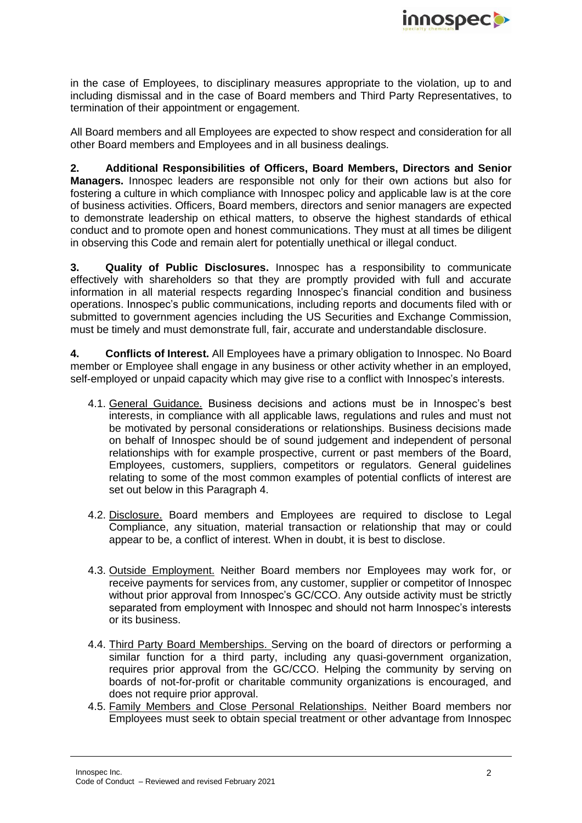

in the case of Employees, to disciplinary measures appropriate to the violation, up to and including dismissal and in the case of Board members and Third Party Representatives, to termination of their appointment or engagement.

All Board members and all Employees are expected to show respect and consideration for all other Board members and Employees and in all business dealings.

**2. Additional Responsibilities of Officers, Board Members, Directors and Senior Managers.** Innospec leaders are responsible not only for their own actions but also for fostering a culture in which compliance with Innospec policy and applicable law is at the core of business activities. Officers, Board members, directors and senior managers are expected to demonstrate leadership on ethical matters, to observe the highest standards of ethical conduct and to promote open and honest communications. They must at all times be diligent in observing this Code and remain alert for potentially unethical or illegal conduct.

**3. Quality of Public Disclosures.** Innospec has a responsibility to communicate effectively with shareholders so that they are promptly provided with full and accurate information in all material respects regarding Innospec's financial condition and business operations. Innospec's public communications, including reports and documents filed with or submitted to government agencies including the US Securities and Exchange Commission, must be timely and must demonstrate full, fair, accurate and understandable disclosure.

**4. Conflicts of Interest.** All Employees have a primary obligation to Innospec. No Board member or Employee shall engage in any business or other activity whether in an employed, self-employed or unpaid capacity which may give rise to a conflict with Innospec's interests.

- 4.1. General Guidance. Business decisions and actions must be in Innospec's best interests, in compliance with all applicable laws, regulations and rules and must not be motivated by personal considerations or relationships. Business decisions made on behalf of Innospec should be of sound judgement and independent of personal relationships with for example prospective, current or past members of the Board, Employees, customers, suppliers, competitors or regulators. General guidelines relating to some of the most common examples of potential conflicts of interest are set out below in this Paragraph 4.
- 4.2. Disclosure. Board members and Employees are required to disclose to Legal Compliance, any situation, material transaction or relationship that may or could appear to be, a conflict of interest. When in doubt, it is best to disclose.
- 4.3. Outside Employment. Neither Board members nor Employees may work for, or receive payments for services from, any customer, supplier or competitor of Innospec without prior approval from Innospec's GC/CCO. Any outside activity must be strictly separated from employment with Innospec and should not harm Innospec's interests or its business.
- 4.4. Third Party Board Memberships. Serving on the board of directors or performing a similar function for a third party, including any quasi-government organization, requires prior approval from the GC/CCO. Helping the community by serving on boards of not-for-profit or charitable community organizations is encouraged, and does not require prior approval.
- 4.5. Family Members and Close Personal Relationships. Neither Board members nor Employees must seek to obtain special treatment or other advantage from Innospec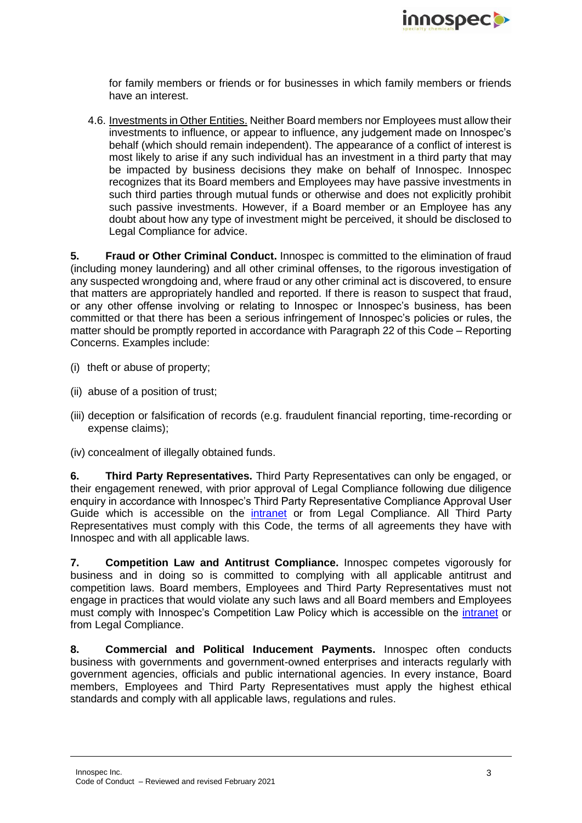

for family members or friends or for businesses in which family members or friends have an interest.

4.6. Investments in Other Entities. Neither Board members nor Employees must allow their investments to influence, or appear to influence, any judgement made on Innospec's behalf (which should remain independent). The appearance of a conflict of interest is most likely to arise if any such individual has an investment in a third party that may be impacted by business decisions they make on behalf of Innospec. Innospec recognizes that its Board members and Employees may have passive investments in such third parties through mutual funds or otherwise and does not explicitly prohibit such passive investments. However, if a Board member or an Employee has any doubt about how any type of investment might be perceived, it should be disclosed to Legal Compliance for advice.

**5. Fraud or Other Criminal Conduct.** Innospec is committed to the elimination of fraud (including money laundering) and all other criminal offenses, to the rigorous investigation of any suspected wrongdoing and, where fraud or any other criminal act is discovered, to ensure that matters are appropriately handled and reported. If there is reason to suspect that fraud, or any other offense involving or relating to Innospec or Innospec's business, has been committed or that there has been a serious infringement of Innospec's policies or rules, the matter should be promptly reported in accordance with Paragraph [22](#page-6-0) of this Code – Reporting Concerns. Examples include:

- (i) theft or abuse of property;
- (ii) abuse of a position of trust;
- (iii) deception or falsification of records (e.g. fraudulent financial reporting, time-recording or expense claims);
- (iv) concealment of illegally obtained funds.

**6. Third Party Representatives.** Third Party Representatives can only be engaged, or their engagement renewed, with prior approval of Legal Compliance following due diligence enquiry in accordance with Innospec's Third Party Representative Compliance Approval User Guide which is accessible on the [intranet](http://innospecportal.innospec.itnet.octel/bs/legal/compliance/Pages/default.aspx) or from Legal Compliance. All Third Party Representatives must comply with this Code, the terms of all agreements they have with Innospec and with all applicable laws.

**7. Competition Law and Antitrust Compliance.** Innospec competes vigorously for business and in doing so is committed to complying with all applicable antitrust and competition laws. Board members, Employees and Third Party Representatives must not engage in practices that would violate any such laws and all Board members and Employees must comply with Innospec's Competition Law Policy which is accessible on the [intranet](http://innospecportal.innospec.itnet.octel/bs/legal/compliance/Pages/default.aspx) or from Legal Compliance.

**8. Commercial and Political Inducement Payments.** Innospec often conducts business with governments and government-owned enterprises and interacts regularly with government agencies, officials and public international agencies. In every instance, Board members, Employees and Third Party Representatives must apply the highest ethical standards and comply with all applicable laws, regulations and rules.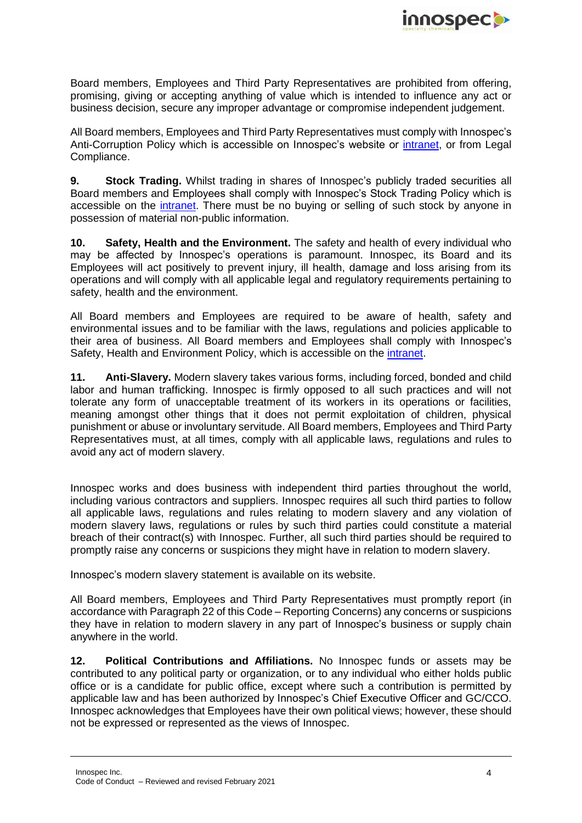

Board members, Employees and Third Party Representatives are prohibited from offering, promising, giving or accepting anything of value which is intended to influence any act or business decision, secure any improper advantage or compromise independent judgement.

All Board members, Employees and Third Party Representatives must comply with Innospec's Anti-Corruption Policy which is accessible on Innospec's website or [intranet,](http://innospecportal.innospec.itnet.octel/bs/legal/compliance/Pages/default.aspx) or from Legal Compliance.

**9. Stock Trading.** Whilst trading in shares of Innospec's publicly traded securities all Board members and Employees shall comply with Innospec's Stock Trading Policy which is accessible on the [intranet.](http://innospecportal.innospec.itnet.octel/bs/legal/cl-cs-ci/Policies/Innospec%20Inc.%20Stock%20Trading%20Policy.pdf) There must be no buying or selling of such stock by anyone in possession of material non-public information.

**10. Safety, Health and the Environment.** The safety and health of every individual who may be affected by Innospec's operations is paramount. Innospec, its Board and its Employees will act positively to prevent injury, ill health, damage and loss arising from its operations and will comply with all applicable legal and regulatory requirements pertaining to safety, health and the environment.

All Board members and Employees are required to be aware of health, safety and environmental issues and to be familiar with the laws, regulations and policies applicable to their area of business. All Board members and Employees shall comply with Innospec's Safety, Health and Environment Policy, which is accessible on the [intranet.](http://innospecportal.innospec.itnet.octel/corporate/she/Innospec%20SHE%20Documents/Innospec%20SHE%20Policy/SHE%20Policy%20Jan%202020.pdf)

**11. Anti-Slavery.** Modern slavery takes various forms, including forced, bonded and child labor and human trafficking. Innospec is firmly opposed to all such practices and will not tolerate any form of unacceptable treatment of its workers in its operations or facilities, meaning amongst other things that it does not permit exploitation of children, physical punishment or abuse or involuntary servitude. All Board members, Employees and Third Party Representatives must, at all times, comply with all applicable laws, regulations and rules to avoid any act of modern slavery.

Innospec works and does business with independent third parties throughout the world, including various contractors and suppliers. Innospec requires all such third parties to follow all applicable laws, regulations and rules relating to modern slavery and any violation of modern slavery laws, regulations or rules by such third parties could constitute a material breach of their contract(s) with Innospec. Further, all such third parties should be required to promptly raise any concerns or suspicions they might have in relation to modern slavery.

Innospec's modern slavery statement is available on its website.

All Board members, Employees and Third Party Representatives must promptly report (in accordance with Paragraph [22](#page-6-0) of this Code – Reporting Concerns) any concerns or suspicions they have in relation to modern slavery in any part of Innospec's business or supply chain anywhere in the world.

**12. Political Contributions and Affiliations.** No Innospec funds or assets may be contributed to any political party or organization, or to any individual who either holds public office or is a candidate for public office, except where such a contribution is permitted by applicable law and has been authorized by Innospec's Chief Executive Officer and GC/CCO. Innospec acknowledges that Employees have their own political views; however, these should not be expressed or represented as the views of Innospec.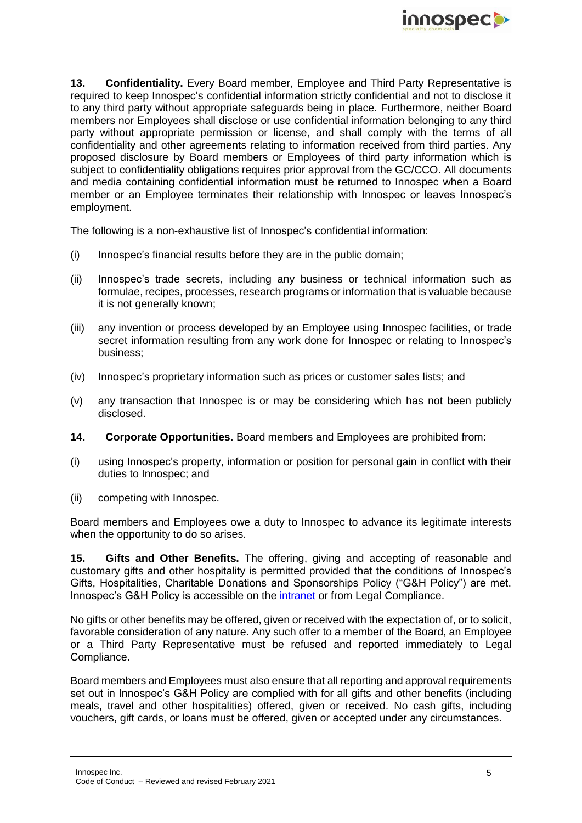

**13. Confidentiality.** Every Board member, Employee and Third Party Representative is required to keep Innospec's confidential information strictly confidential and not to disclose it to any third party without appropriate safeguards being in place. Furthermore, neither Board members nor Employees shall disclose or use confidential information belonging to any third party without appropriate permission or license, and shall comply with the terms of all confidentiality and other agreements relating to information received from third parties. Any proposed disclosure by Board members or Employees of third party information which is subject to confidentiality obligations requires prior approval from the GC/CCO. All documents and media containing confidential information must be returned to Innospec when a Board member or an Employee terminates their relationship with Innospec or leaves Innospec's employment.

The following is a non-exhaustive list of Innospec's confidential information:

- (i) Innospec's financial results before they are in the public domain;
- (ii) Innospec's trade secrets, including any business or technical information such as formulae, recipes, processes, research programs or information that is valuable because it is not generally known;
- (iii) any invention or process developed by an Employee using Innospec facilities, or trade secret information resulting from any work done for Innospec or relating to Innospec's business;
- (iv) Innospec's proprietary information such as prices or customer sales lists; and
- (v) any transaction that Innospec is or may be considering which has not been publicly disclosed.
- **14. Corporate Opportunities.** Board members and Employees are prohibited from:
- (i) using Innospec's property, information or position for personal gain in conflict with their duties to Innospec; and
- (ii) competing with Innospec.

Board members and Employees owe a duty to Innospec to advance its legitimate interests when the opportunity to do so arises.

**15. Gifts and Other Benefits.** The offering, giving and accepting of reasonable and customary gifts and other hospitality is permitted provided that the conditions of Innospec's Gifts, Hospitalities, Charitable Donations and Sponsorships Policy ("G&H Policy") are met. Innospec's G&H Policy is accessible on the [intranet](http://innospecportal.innospec.itnet.octel/bs/legal/compliance/Pages/default.aspx) or from Legal Compliance.

No gifts or other benefits may be offered, given or received with the expectation of, or to solicit, favorable consideration of any nature. Any such offer to a member of the Board, an Employee or a Third Party Representative must be refused and reported immediately to Legal Compliance.

Board members and Employees must also ensure that all reporting and approval requirements set out in Innospec's G&H Policy are complied with for all gifts and other benefits (including meals, travel and other hospitalities) offered, given or received. No cash gifts, including vouchers, gift cards, or loans must be offered, given or accepted under any circumstances.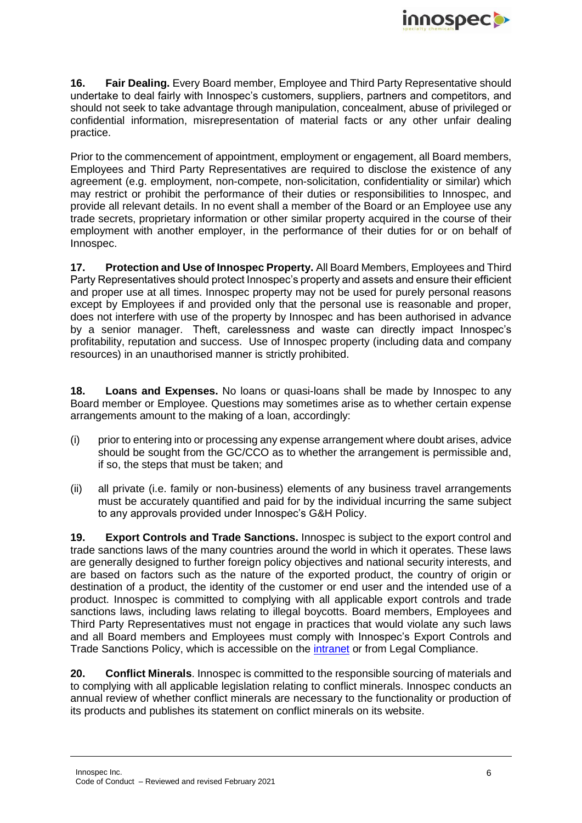

**16. Fair Dealing.** Every Board member, Employee and Third Party Representative should undertake to deal fairly with Innospec's customers, suppliers, partners and competitors, and should not seek to take advantage through manipulation, concealment, abuse of privileged or confidential information, misrepresentation of material facts or any other unfair dealing practice.

Prior to the commencement of appointment, employment or engagement, all Board members, Employees and Third Party Representatives are required to disclose the existence of any agreement (e.g. employment, non-compete, non-solicitation, confidentiality or similar) which may restrict or prohibit the performance of their duties or responsibilities to Innospec, and provide all relevant details. In no event shall a member of the Board or an Employee use any trade secrets, proprietary information or other similar property acquired in the course of their employment with another employer, in the performance of their duties for or on behalf of Innospec.

**17. Protection and Use of Innospec Property.** All Board Members, Employees and Third Party Representatives should protect Innospec's property and assets and ensure their efficient and proper use at all times. Innospec property may not be used for purely personal reasons except by Employees if and provided only that the personal use is reasonable and proper, does not interfere with use of the property by Innospec and has been authorised in advance by a senior manager. Theft, carelessness and waste can directly impact Innospec's profitability, reputation and success. Use of Innospec property (including data and company resources) in an unauthorised manner is strictly prohibited.

**18. Loans and Expenses.** No loans or quasi-loans shall be made by Innospec to any Board member or Employee. Questions may sometimes arise as to whether certain expense arrangements amount to the making of a loan, accordingly:

- (i) prior to entering into or processing any expense arrangement where doubt arises, advice should be sought from the GC/CCO as to whether the arrangement is permissible and, if so, the steps that must be taken; and
- (ii) all private (i.e. family or non-business) elements of any business travel arrangements must be accurately quantified and paid for by the individual incurring the same subject to any approvals provided under Innospec's G&H Policy.

**19. Export Controls and Trade Sanctions.** Innospec is subject to the export control and trade sanctions laws of the many countries around the world in which it operates. These laws are generally designed to further foreign policy objectives and national security interests, and are based on factors such as the nature of the exported product, the country of origin or destination of a product, the identity of the customer or end user and the intended use of a product. Innospec is committed to complying with all applicable export controls and trade sanctions laws, including laws relating to illegal boycotts. Board members, Employees and Third Party Representatives must not engage in practices that would violate any such laws and all Board members and Employees must comply with Innospec's Export Controls and Trade Sanctions Policy, which is accessible on the [intranet](http://innospecportal.innospec.itnet.octel/bs/legal/compliance/Pages/default.aspx) or from Legal Compliance.

**20. Conflict Minerals**. Innospec is committed to the responsible sourcing of materials and to complying with all applicable legislation relating to conflict minerals. Innospec conducts an annual review of whether conflict minerals are necessary to the functionality or production of its products and publishes its statement on conflict minerals on its website.